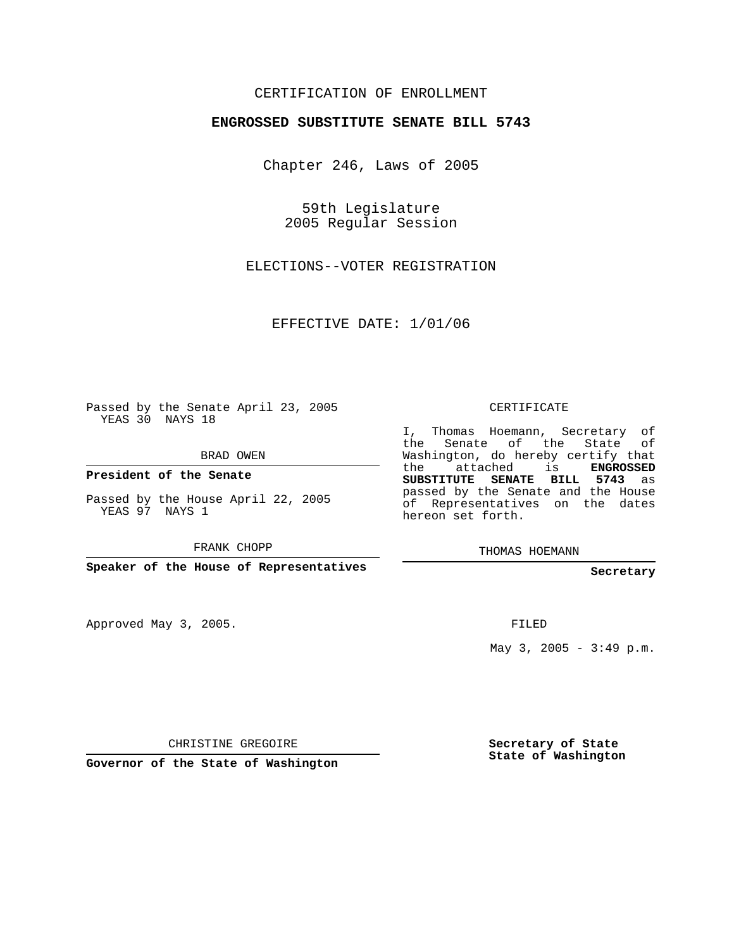### CERTIFICATION OF ENROLLMENT

#### **ENGROSSED SUBSTITUTE SENATE BILL 5743**

Chapter 246, Laws of 2005

59th Legislature 2005 Regular Session

ELECTIONS--VOTER REGISTRATION

EFFECTIVE DATE: 1/01/06

Passed by the Senate April 23, 2005 YEAS 30 NAYS 18

BRAD OWEN

**President of the Senate**

Passed by the House April 22, 2005 YEAS 97 NAYS 1

FRANK CHOPP

**Speaker of the House of Representatives**

Approved May 3, 2005.

CERTIFICATE

I, Thomas Hoemann, Secretary of the Senate of the State Washington, do hereby certify that the attached is **ENGROSSED SUBSTITUTE SENATE BILL 5743** as passed by the Senate and the House of Representatives on the dates hereon set forth.

THOMAS HOEMANN

**Secretary**

FILED

May  $3, 2005 - 3:49 \text{ p.m.}$ 

CHRISTINE GREGOIRE

**Governor of the State of Washington**

**Secretary of State State of Washington**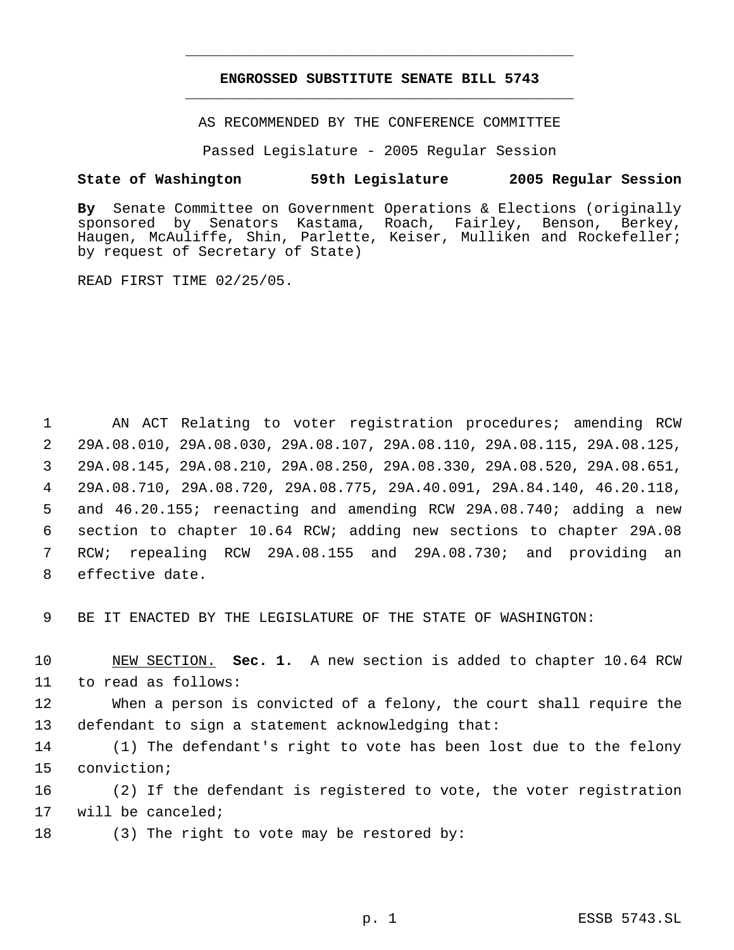## **ENGROSSED SUBSTITUTE SENATE BILL 5743** \_\_\_\_\_\_\_\_\_\_\_\_\_\_\_\_\_\_\_\_\_\_\_\_\_\_\_\_\_\_\_\_\_\_\_\_\_\_\_\_\_\_\_\_\_

\_\_\_\_\_\_\_\_\_\_\_\_\_\_\_\_\_\_\_\_\_\_\_\_\_\_\_\_\_\_\_\_\_\_\_\_\_\_\_\_\_\_\_\_\_

AS RECOMMENDED BY THE CONFERENCE COMMITTEE

Passed Legislature - 2005 Regular Session

#### **State of Washington 59th Legislature 2005 Regular Session**

**By** Senate Committee on Government Operations & Elections (originally sponsored by Senators Kastama, Roach, Fairley, Benson, Berkey, Haugen, McAuliffe, Shin, Parlette, Keiser, Mulliken and Rockefeller; by request of Secretary of State)

READ FIRST TIME 02/25/05.

 AN ACT Relating to voter registration procedures; amending RCW 29A.08.010, 29A.08.030, 29A.08.107, 29A.08.110, 29A.08.115, 29A.08.125, 29A.08.145, 29A.08.210, 29A.08.250, 29A.08.330, 29A.08.520, 29A.08.651, 29A.08.710, 29A.08.720, 29A.08.775, 29A.40.091, 29A.84.140, 46.20.118, and 46.20.155; reenacting and amending RCW 29A.08.740; adding a new section to chapter 10.64 RCW; adding new sections to chapter 29A.08 RCW; repealing RCW 29A.08.155 and 29A.08.730; and providing an effective date.

9 BE IT ENACTED BY THE LEGISLATURE OF THE STATE OF WASHINGTON:

10 NEW SECTION. **Sec. 1.** A new section is added to chapter 10.64 RCW 11 to read as follows:

12 When a person is convicted of a felony, the court shall require the 13 defendant to sign a statement acknowledging that:

14 (1) The defendant's right to vote has been lost due to the felony 15 conviction;

16 (2) If the defendant is registered to vote, the voter registration 17 will be canceled;

18 (3) The right to vote may be restored by: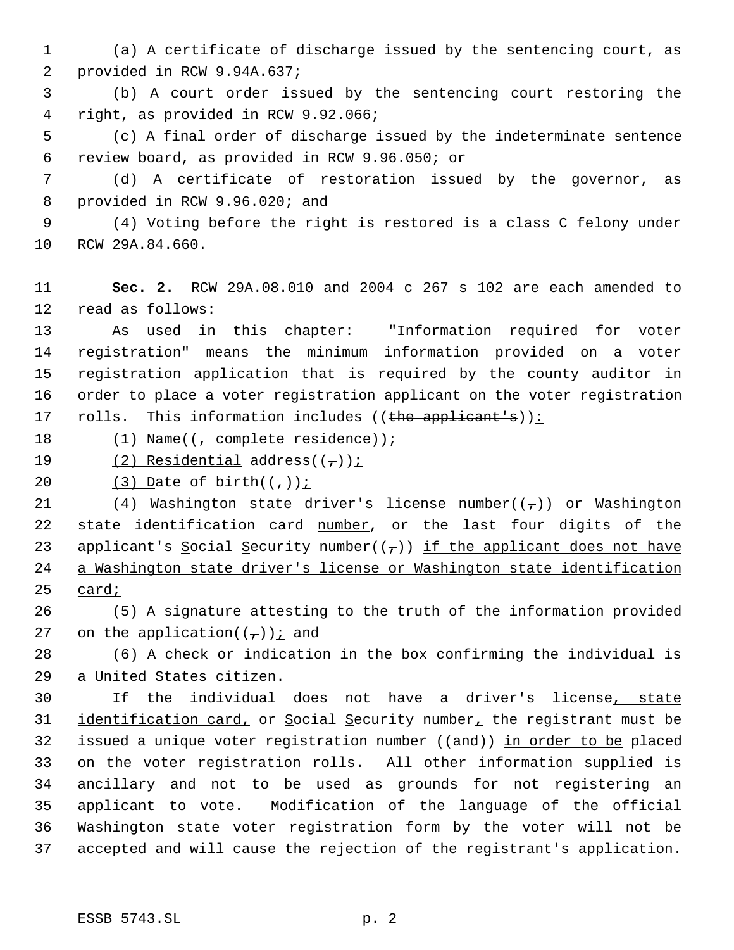(a) A certificate of discharge issued by the sentencing court, as provided in RCW 9.94A.637;

 (b) A court order issued by the sentencing court restoring the right, as provided in RCW 9.92.066;

 (c) A final order of discharge issued by the indeterminate sentence review board, as provided in RCW 9.96.050; or

 (d) A certificate of restoration issued by the governor, as provided in RCW 9.96.020; and

 (4) Voting before the right is restored is a class C felony under RCW 29A.84.660.

 **Sec. 2.** RCW 29A.08.010 and 2004 c 267 s 102 are each amended to read as follows:

 As used in this chapter: "Information required for voter registration" means the minimum information provided on a voter registration application that is required by the county auditor in order to place a voter registration applicant on the voter registration 17 rolls. This information includes ((the applicant's)):

18 (1) Name((<del>, complete residence</del>));

19  $(2)$  Residential address( $(\tau)$ );

20 (3) Date of birth $((\tau))^i$ 

21 (4) Washington state driver's license number( $(\tau)$ ) or Washington 22 state identification card number, or the last four digits of the 23 applicant's Social Security number( $(\tau)$ ) if the applicant does not have a Washington state driver's license or Washington state identification card;

 $(5)$  A signature attesting to the truth of the information provided 27 on the application( $(\tau)$ ) *i* and

 (6) A check or indication in the box confirming the individual is a United States citizen.

 If the individual does not have a driver's license, state 31 identification card, or Social Security number, the registrant must be 32 issued a unique voter registration number ((and)) in order to be placed on the voter registration rolls. All other information supplied is ancillary and not to be used as grounds for not registering an applicant to vote. Modification of the language of the official Washington state voter registration form by the voter will not be accepted and will cause the rejection of the registrant's application.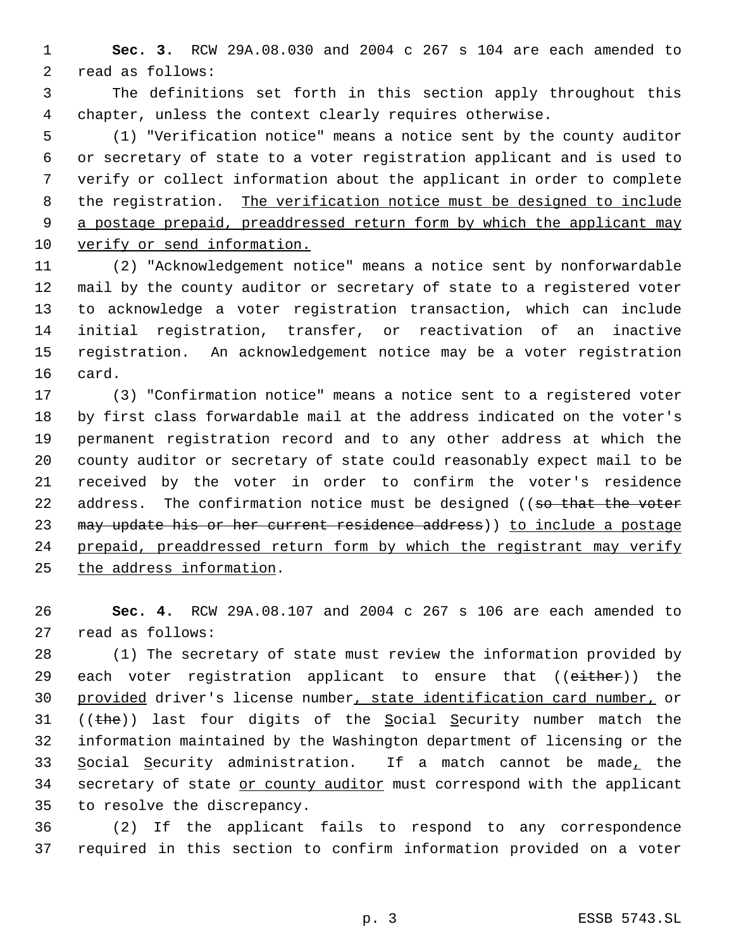**Sec. 3.** RCW 29A.08.030 and 2004 c 267 s 104 are each amended to read as follows:

 The definitions set forth in this section apply throughout this chapter, unless the context clearly requires otherwise.

 (1) "Verification notice" means a notice sent by the county auditor or secretary of state to a voter registration applicant and is used to verify or collect information about the applicant in order to complete 8 the registration. The verification notice must be designed to include 9 a postage prepaid, preaddressed return form by which the applicant may verify or send information.

 (2) "Acknowledgement notice" means a notice sent by nonforwardable mail by the county auditor or secretary of state to a registered voter to acknowledge a voter registration transaction, which can include initial registration, transfer, or reactivation of an inactive registration. An acknowledgement notice may be a voter registration card.

 (3) "Confirmation notice" means a notice sent to a registered voter by first class forwardable mail at the address indicated on the voter's permanent registration record and to any other address at which the county auditor or secretary of state could reasonably expect mail to be received by the voter in order to confirm the voter's residence 22 address. The confirmation notice must be designed ((so that the voter 23 may update his or her current residence address)) to include a postage prepaid, preaddressed return form by which the registrant may verify the address information.

 **Sec. 4.** RCW 29A.08.107 and 2004 c 267 s 106 are each amended to read as follows:

 (1) The secretary of state must review the information provided by 29 each voter registration applicant to ensure that ((either)) the 30 provided driver's license number, state identification card number, or 31 (( $the$ )) last four digits of the Social Security number match the information maintained by the Washington department of licensing or the 33 Social Security administration. If a match cannot be made, the 34 secretary of state or county auditor must correspond with the applicant to resolve the discrepancy.

 (2) If the applicant fails to respond to any correspondence required in this section to confirm information provided on a voter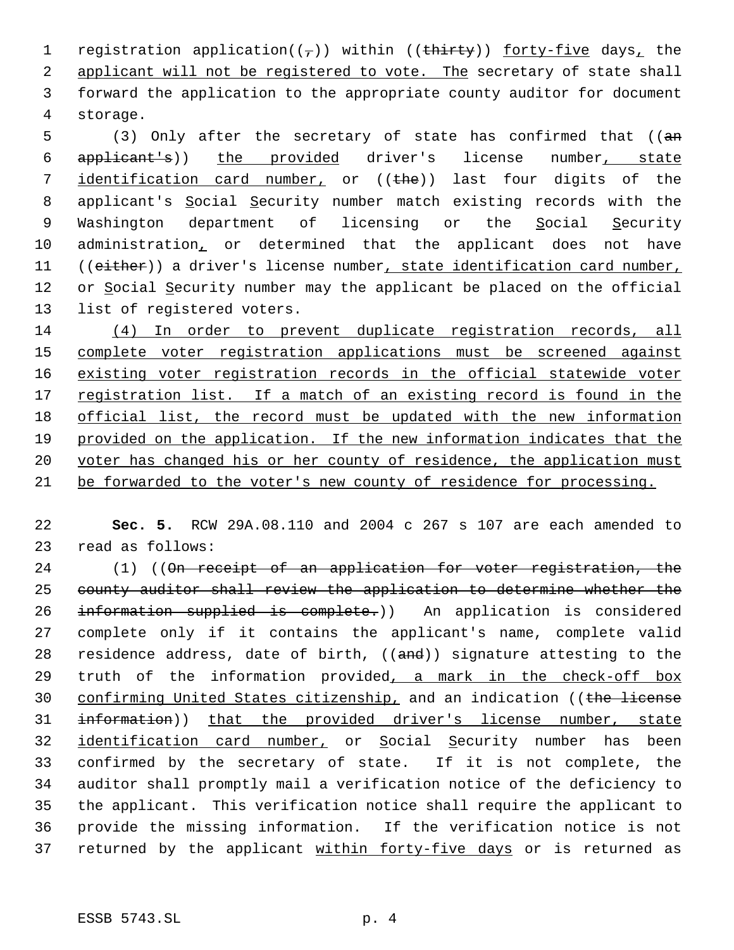1 registration application( $(\tau)$ ) within ((thirty)) forty-five days, the 2 applicant will not be registered to vote. The secretary of state shall 3 forward the application to the appropriate county auditor for document 4 storage.

5 (3) Only after the secretary of state has confirmed that ((an 6 applicant's)) the provided driver's license number, state 7 identification card number, or ((the)) last four digits of the 8 applicant's Social Security number match existing records with the 9 Washington department of licensing or the Social Security 10 administration, or determined that the applicant does not have 11 ((either)) a driver's license number, state identification card number, 12 or Social Security number may the applicant be placed on the official 13 list of registered voters.

 (4) In order to prevent duplicate registration records, all complete voter registration applications must be screened against existing voter registration records in the official statewide voter 17 registration list. If a match of an existing record is found in the official list, the record must be updated with the new information provided on the application. If the new information indicates that the 20 voter has changed his or her county of residence, the application must be forwarded to the voter's new county of residence for processing.

22 **Sec. 5.** RCW 29A.08.110 and 2004 c 267 s 107 are each amended to 23 read as follows:

24 (1) ((On receipt of an application for voter registration, the 25 county auditor shall review the application to determine whether the 26 information supplied is complete.)) An application is considered 27 complete only if it contains the applicant's name, complete valid 28 residence address, date of birth,  $((and))$  signature attesting to the 29 truth of the information provided, a mark in the check-off box 30 confirming United States citizenship, and an indication ((the license 31 information)) that the provided driver's license number, state 32 identification card number, or Social Security number has been 33 confirmed by the secretary of state. If it is not complete, the 34 auditor shall promptly mail a verification notice of the deficiency to 35 the applicant. This verification notice shall require the applicant to 36 provide the missing information. If the verification notice is not 37 returned by the applicant within forty-five days or is returned as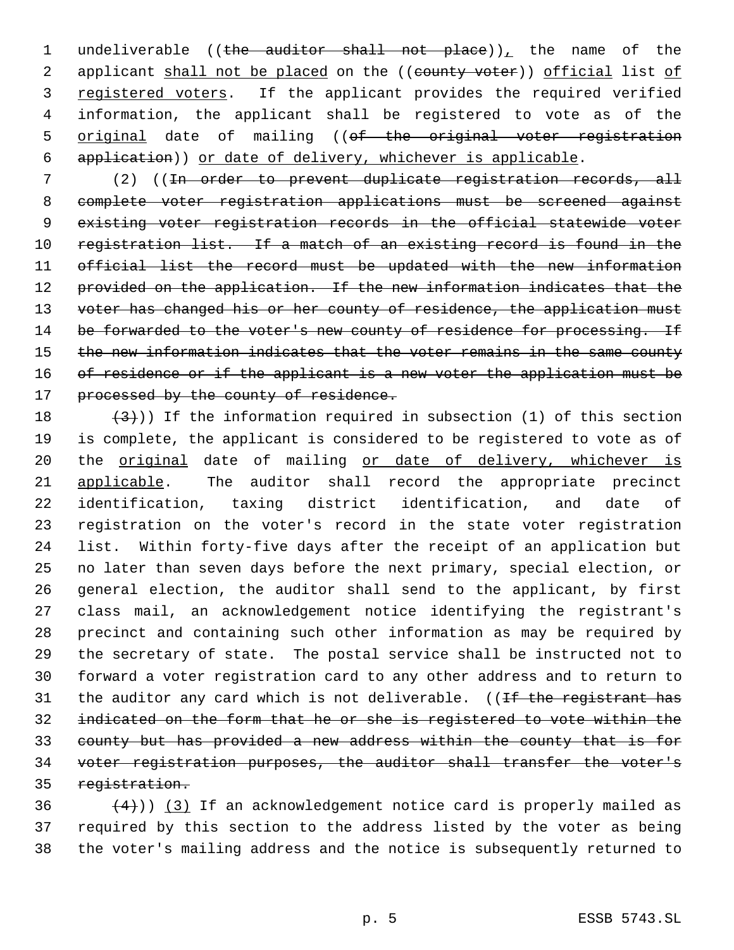1 undeliverable ((the auditor shall not place)), the name of the 2 applicant shall not be placed on the ((county voter)) official list of 3 registered voters. If the applicant provides the required verified information, the applicant shall be registered to vote as of the 5 original date of mailing ((of the original voter registration application)) or date of delivery, whichever is applicable.

 (2) ((In order to prevent duplicate registration records, all complete voter registration applications must be screened against existing voter registration records in the official statewide voter registration list. If a match of an existing record is found in the official list the record must be updated with the new information 12 provided on the application. If the new information indicates that the 13 voter has changed his or her county of residence, the application must 14 be forwarded to the voter's new county of residence for processing. If 15 the new information indicates that the voter remains in the same county 16 of residence or if the applicant is a new voter the application must be 17 processed by the county of residence.

 $(3)$ )) If the information required in subsection (1) of this section is complete, the applicant is considered to be registered to vote as of 20 the original date of mailing or date of delivery, whichever is applicable. The auditor shall record the appropriate precinct identification, taxing district identification, and date of registration on the voter's record in the state voter registration list. Within forty-five days after the receipt of an application but no later than seven days before the next primary, special election, or general election, the auditor shall send to the applicant, by first class mail, an acknowledgement notice identifying the registrant's precinct and containing such other information as may be required by the secretary of state. The postal service shall be instructed not to forward a voter registration card to any other address and to return to 31 the auditor any card which is not deliverable. ((If the registrant has indicated on the form that he or she is registered to vote within the county but has provided a new address within the county that is for voter registration purposes, the auditor shall transfer the voter's registration.

36  $(4)$ ) (3) If an acknowledgement notice card is properly mailed as required by this section to the address listed by the voter as being the voter's mailing address and the notice is subsequently returned to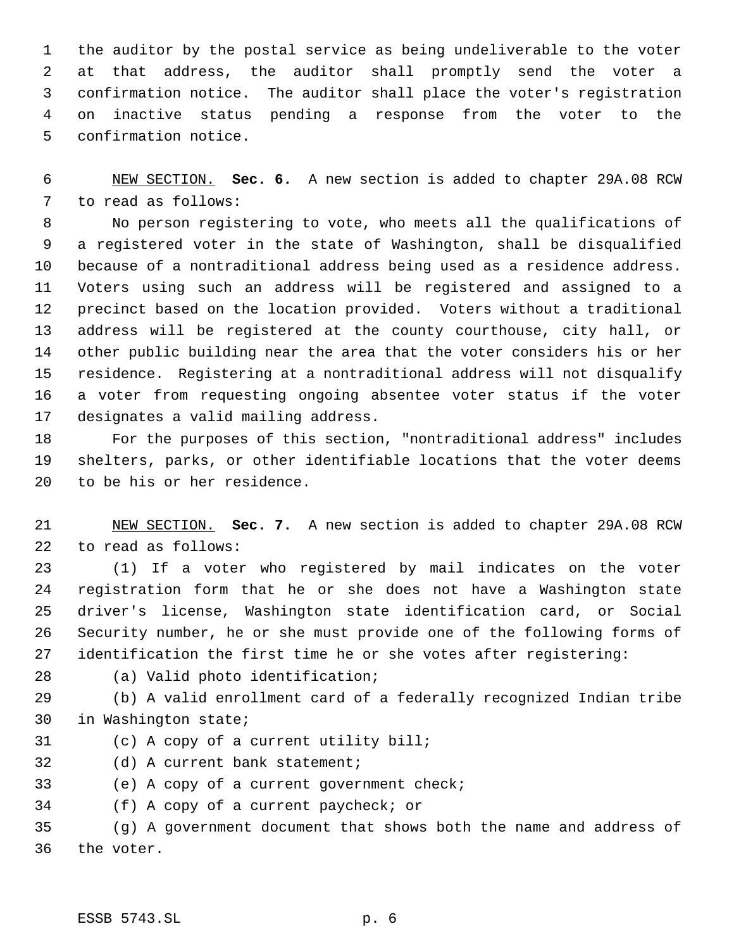the auditor by the postal service as being undeliverable to the voter at that address, the auditor shall promptly send the voter a confirmation notice. The auditor shall place the voter's registration on inactive status pending a response from the voter to the confirmation notice.

 NEW SECTION. **Sec. 6.** A new section is added to chapter 29A.08 RCW to read as follows:

 No person registering to vote, who meets all the qualifications of a registered voter in the state of Washington, shall be disqualified because of a nontraditional address being used as a residence address. Voters using such an address will be registered and assigned to a precinct based on the location provided. Voters without a traditional address will be registered at the county courthouse, city hall, or other public building near the area that the voter considers his or her residence. Registering at a nontraditional address will not disqualify a voter from requesting ongoing absentee voter status if the voter designates a valid mailing address.

 For the purposes of this section, "nontraditional address" includes shelters, parks, or other identifiable locations that the voter deems to be his or her residence.

 NEW SECTION. **Sec. 7.** A new section is added to chapter 29A.08 RCW to read as follows:

 (1) If a voter who registered by mail indicates on the voter registration form that he or she does not have a Washington state driver's license, Washington state identification card, or Social Security number, he or she must provide one of the following forms of identification the first time he or she votes after registering:

(a) Valid photo identification;

 (b) A valid enrollment card of a federally recognized Indian tribe in Washington state;

- (c) A copy of a current utility bill;
- (d) A current bank statement;

(e) A copy of a current government check;

(f) A copy of a current paycheck; or

 (g) A government document that shows both the name and address of the voter.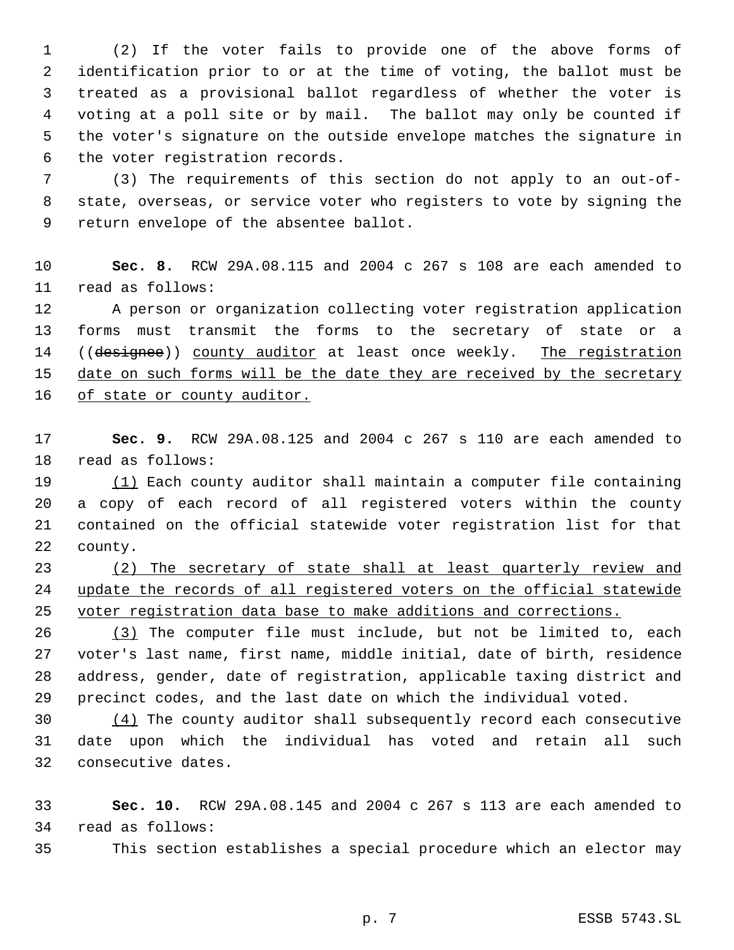(2) If the voter fails to provide one of the above forms of identification prior to or at the time of voting, the ballot must be treated as a provisional ballot regardless of whether the voter is voting at a poll site or by mail. The ballot may only be counted if the voter's signature on the outside envelope matches the signature in the voter registration records.

 (3) The requirements of this section do not apply to an out-of- state, overseas, or service voter who registers to vote by signing the return envelope of the absentee ballot.

 **Sec. 8.** RCW 29A.08.115 and 2004 c 267 s 108 are each amended to read as follows:

 A person or organization collecting voter registration application forms must transmit the forms to the secretary of state or a 14 ((designee)) county auditor at least once weekly. The registration 15 date on such forms will be the date they are received by the secretary 16 of state or county auditor.

 **Sec. 9.** RCW 29A.08.125 and 2004 c 267 s 110 are each amended to read as follows:

 (1) Each county auditor shall maintain a computer file containing a copy of each record of all registered voters within the county contained on the official statewide voter registration list for that county.

 (2) The secretary of state shall at least quarterly review and update the records of all registered voters on the official statewide voter registration data base to make additions and corrections.

26 (3) The computer file must include, but not be limited to, each voter's last name, first name, middle initial, date of birth, residence address, gender, date of registration, applicable taxing district and precinct codes, and the last date on which the individual voted.

 (4) The county auditor shall subsequently record each consecutive date upon which the individual has voted and retain all such consecutive dates.

 **Sec. 10.** RCW 29A.08.145 and 2004 c 267 s 113 are each amended to read as follows:

This section establishes a special procedure which an elector may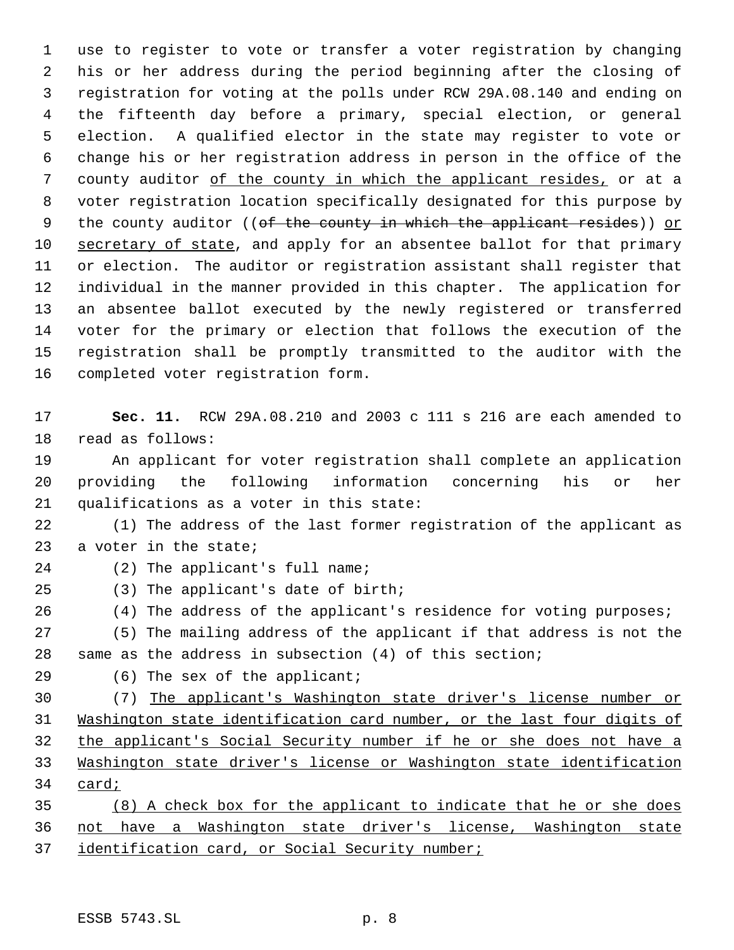use to register to vote or transfer a voter registration by changing his or her address during the period beginning after the closing of registration for voting at the polls under RCW 29A.08.140 and ending on the fifteenth day before a primary, special election, or general election. A qualified elector in the state may register to vote or change his or her registration address in person in the office of the 7 county auditor of the county in which the applicant resides, or at a voter registration location specifically designated for this purpose by 9 the county auditor ((of the county in which the applicant resides)) or 10 secretary of state, and apply for an absentee ballot for that primary or election. The auditor or registration assistant shall register that individual in the manner provided in this chapter. The application for an absentee ballot executed by the newly registered or transferred voter for the primary or election that follows the execution of the registration shall be promptly transmitted to the auditor with the completed voter registration form.

 **Sec. 11.** RCW 29A.08.210 and 2003 c 111 s 216 are each amended to read as follows:

 An applicant for voter registration shall complete an application providing the following information concerning his or her qualifications as a voter in this state:

 (1) The address of the last former registration of the applicant as 23 a voter in the state;

- (2) The applicant's full name;
- (3) The applicant's date of birth;
- 26 (4) The address of the applicant's residence for voting purposes;

 (5) The mailing address of the applicant if that address is not the same as the address in subsection (4) of this section;

(6) The sex of the applicant;

 (7) The applicant's Washington state driver's license number or Washington state identification card number, or the last four digits of the applicant's Social Security number if he or she does not have a Washington state driver's license or Washington state identification card;

 (8) A check box for the applicant to indicate that he or she does not have a Washington state driver's license, Washington state 37 identification card, or Social Security number;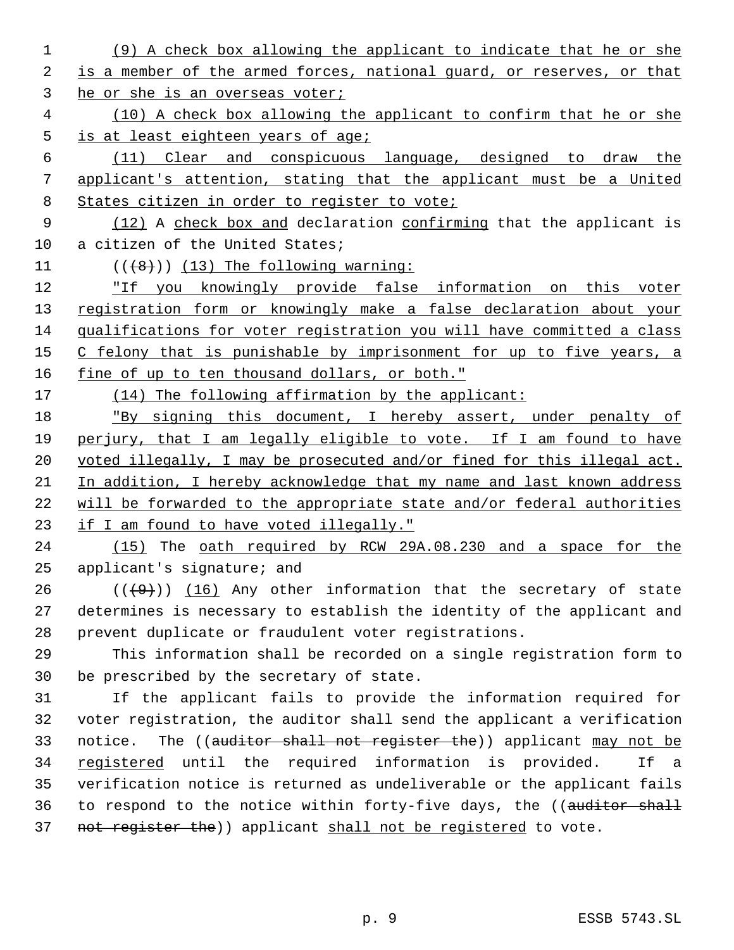- (9) A check box allowing the applicant to indicate that he or she 2 is a member of the armed forces, national guard, or reserves, or that he or she is an overseas voter;
- (10) A check box allowing the applicant to confirm that he or she is at least eighteen years of age;
- (11) Clear and conspicuous language, designed to draw the applicant's attention, stating that the applicant must be a United 8 States citizen in order to register to vote;
- 9 (12) A check box and declaration confirming that the applicant is a citizen of the United States;
- 
- 11  $((+8))$  (13) The following warning:

 "If you knowingly provide false information on this voter 13 registration form or knowingly make a false declaration about your qualifications for voter registration you will have committed a class 15 C felony that is punishable by imprisonment for up to five years, a 16 fine of up to ten thousand dollars, or both."

17 (14) The following affirmation by the applicant:

18 "By signing this document, I hereby assert, under penalty of perjury, that I am legally eligible to vote. If I am found to have 20 voted illegally, I may be prosecuted and/or fined for this illegal act. In addition, I hereby acknowledge that my name and last known address will be forwarded to the appropriate state and/or federal authorities if I am found to have voted illegally."

 (15) The oath required by RCW 29A.08.230 and a space for the applicant's signature; and

 $((+9))$   $(16)$  Any other information that the secretary of state determines is necessary to establish the identity of the applicant and prevent duplicate or fraudulent voter registrations.

 This information shall be recorded on a single registration form to be prescribed by the secretary of state.

 If the applicant fails to provide the information required for voter registration, the auditor shall send the applicant a verification 33 notice. The ((auditor shall not register the)) applicant may not be 34 registered until the required information is provided. If a verification notice is returned as undeliverable or the applicant fails 36 to respond to the notice within forty-five days, the ((auditor shall 37 not register the)) applicant shall not be registered to vote.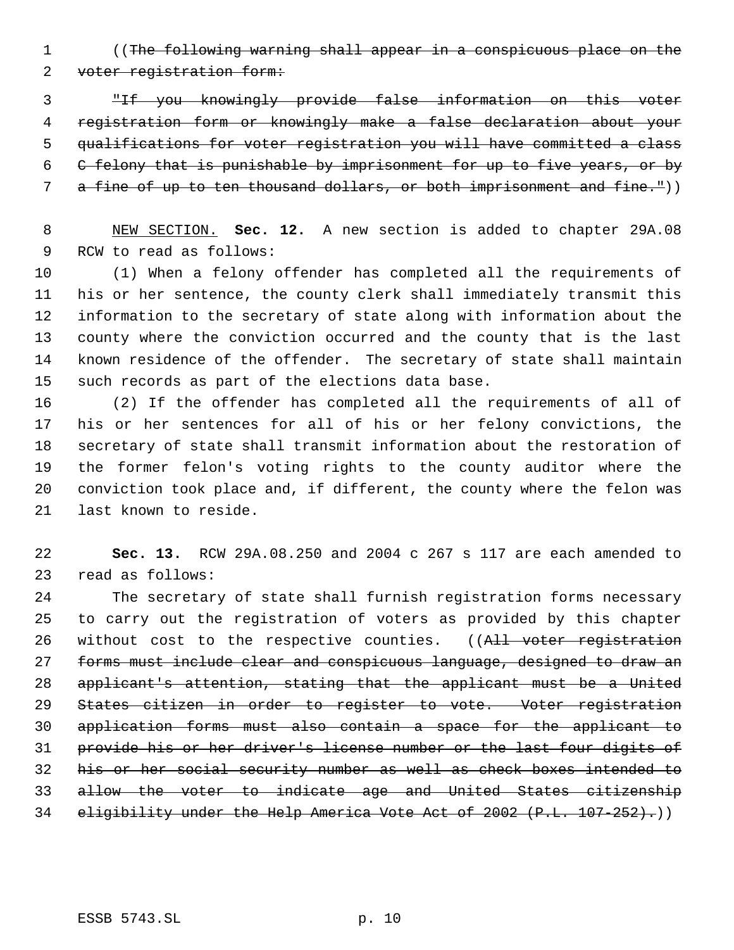((The following warning shall appear in a conspicuous place on the voter registration form:

 "If you knowingly provide false information on this voter registration form or knowingly make a false declaration about your qualifications for voter registration you will have committed a class C felony that is punishable by imprisonment for up to five years, or by 7 a fine of up to ten thousand dollars, or both imprisonment and fine.<sup>"</sup>))

 NEW SECTION. **Sec. 12.** A new section is added to chapter 29A.08 RCW to read as follows:

 (1) When a felony offender has completed all the requirements of his or her sentence, the county clerk shall immediately transmit this information to the secretary of state along with information about the county where the conviction occurred and the county that is the last known residence of the offender. The secretary of state shall maintain such records as part of the elections data base.

 (2) If the offender has completed all the requirements of all of his or her sentences for all of his or her felony convictions, the secretary of state shall transmit information about the restoration of the former felon's voting rights to the county auditor where the conviction took place and, if different, the county where the felon was last known to reside.

 **Sec. 13.** RCW 29A.08.250 and 2004 c 267 s 117 are each amended to read as follows:

 The secretary of state shall furnish registration forms necessary to carry out the registration of voters as provided by this chapter 26 without cost to the respective counties. ((All voter registration forms must include clear and conspicuous language, designed to draw an applicant's attention, stating that the applicant must be a United States citizen in order to register to vote. Voter registration application forms must also contain a space for the applicant to provide his or her driver's license number or the last four digits of his or her social security number as well as check boxes intended to allow the voter to indicate age and United States citizenship eligibility under the Help America Vote Act of 2002 (P.L. 107-252).))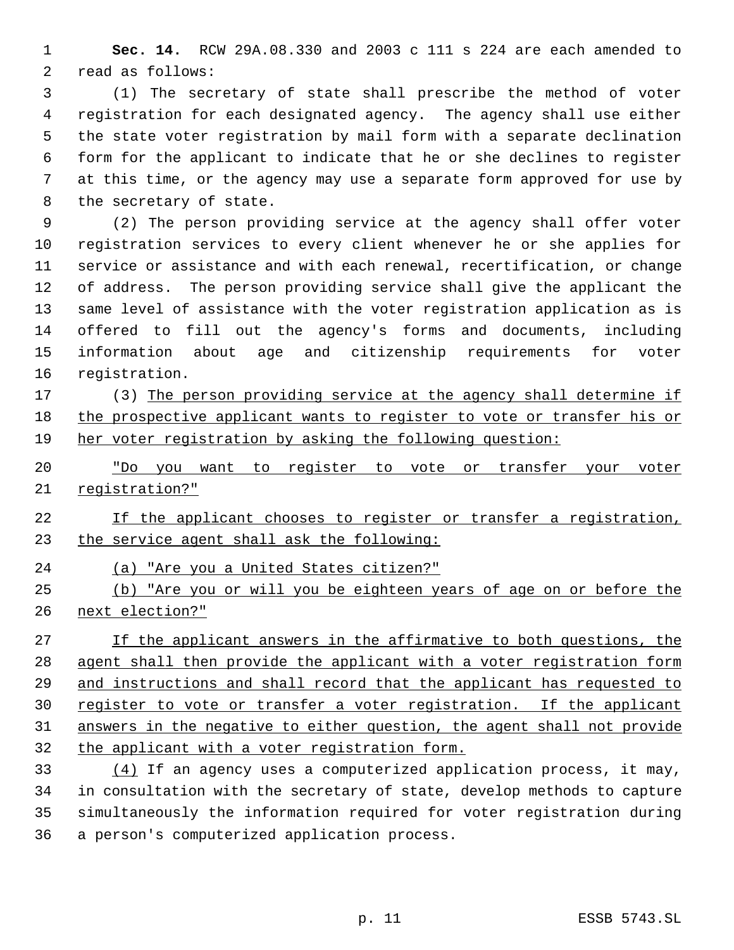**Sec. 14.** RCW 29A.08.330 and 2003 c 111 s 224 are each amended to read as follows:

 (1) The secretary of state shall prescribe the method of voter registration for each designated agency. The agency shall use either the state voter registration by mail form with a separate declination form for the applicant to indicate that he or she declines to register at this time, or the agency may use a separate form approved for use by the secretary of state.

 (2) The person providing service at the agency shall offer voter registration services to every client whenever he or she applies for service or assistance and with each renewal, recertification, or change of address. The person providing service shall give the applicant the same level of assistance with the voter registration application as is offered to fill out the agency's forms and documents, including information about age and citizenship requirements for voter registration.

 (3) The person providing service at the agency shall determine if the prospective applicant wants to register to vote or transfer his or her voter registration by asking the following question:

 "Do you want to register to vote or transfer your voter registration?"

 If the applicant chooses to register or transfer a registration, 23 the service agent shall ask the following:

(a) "Are you a United States citizen?"

 (b) "Are you or will you be eighteen years of age on or before the next election?"

 If the applicant answers in the affirmative to both questions, the agent shall then provide the applicant with a voter registration form and instructions and shall record that the applicant has requested to 30 register to vote or transfer a voter registration. If the applicant answers in the negative to either question, the agent shall not provide the applicant with a voter registration form.

 $(4)$  If an agency uses a computerized application process, it may, in consultation with the secretary of state, develop methods to capture simultaneously the information required for voter registration during a person's computerized application process.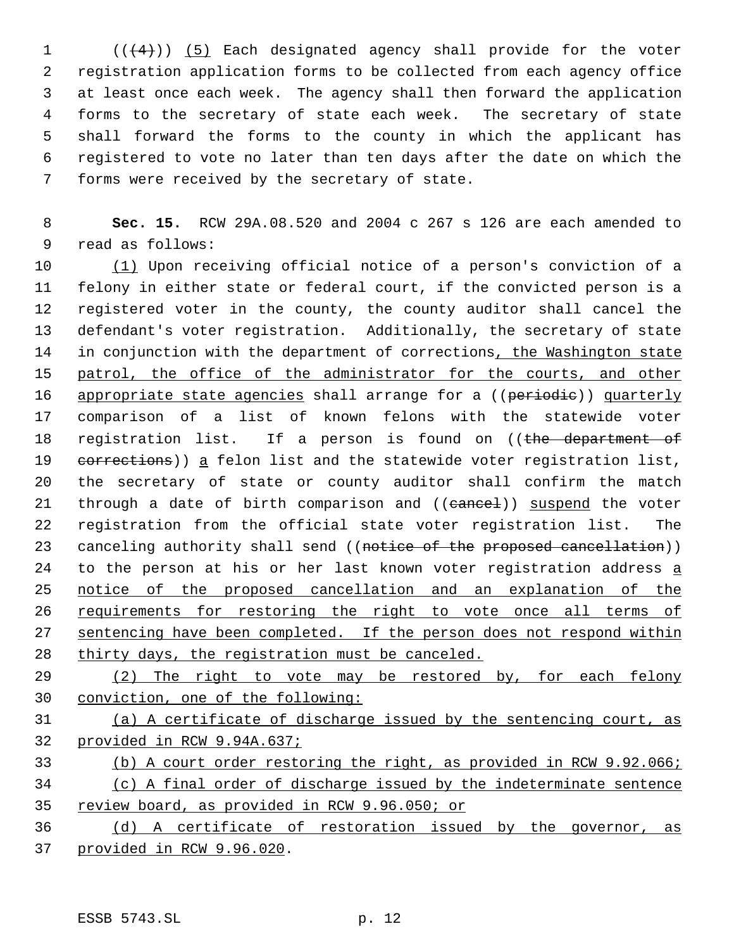(( $(4)$ )) (5) Each designated agency shall provide for the voter registration application forms to be collected from each agency office at least once each week. The agency shall then forward the application forms to the secretary of state each week. The secretary of state shall forward the forms to the county in which the applicant has registered to vote no later than ten days after the date on which the forms were received by the secretary of state.

 **Sec. 15.** RCW 29A.08.520 and 2004 c 267 s 126 are each amended to read as follows:

 (1) Upon receiving official notice of a person's conviction of a felony in either state or federal court, if the convicted person is a registered voter in the county, the county auditor shall cancel the defendant's voter registration. Additionally, the secretary of state 14 in conjunction with the department of corrections, the Washington state 15 patrol, the office of the administrator for the courts, and other 16 appropriate state agencies shall arrange for a ((periodie)) quarterly comparison of a list of known felons with the statewide voter 18 registration list. If a person is found on ((the department of 19 eorrections)) a felon list and the statewide voter registration list, the secretary of state or county auditor shall confirm the match 21 through a date of birth comparison and ((cancel)) suspend the voter registration from the official state voter registration list. The 23 canceling authority shall send ((notice of the proposed cancellation)) 24 to the person at his or her last known voter registration address a notice of the proposed cancellation and an explanation of the 26 requirements for restoring the right to vote once all terms of 27 sentencing have been completed. If the person does not respond within thirty days, the registration must be canceled.

29 (2) The right to vote may be restored by, for each felony conviction, one of the following:

 (a) A certificate of discharge issued by the sentencing court, as provided in RCW 9.94A.637;

# (b) A court order restoring the right, as provided in RCW 9.92.066; (c) A final order of discharge issued by the indeterminate sentence

review board, as provided in RCW 9.96.050; or

 (d) A certificate of restoration issued by the governor, as provided in RCW 9.96.020.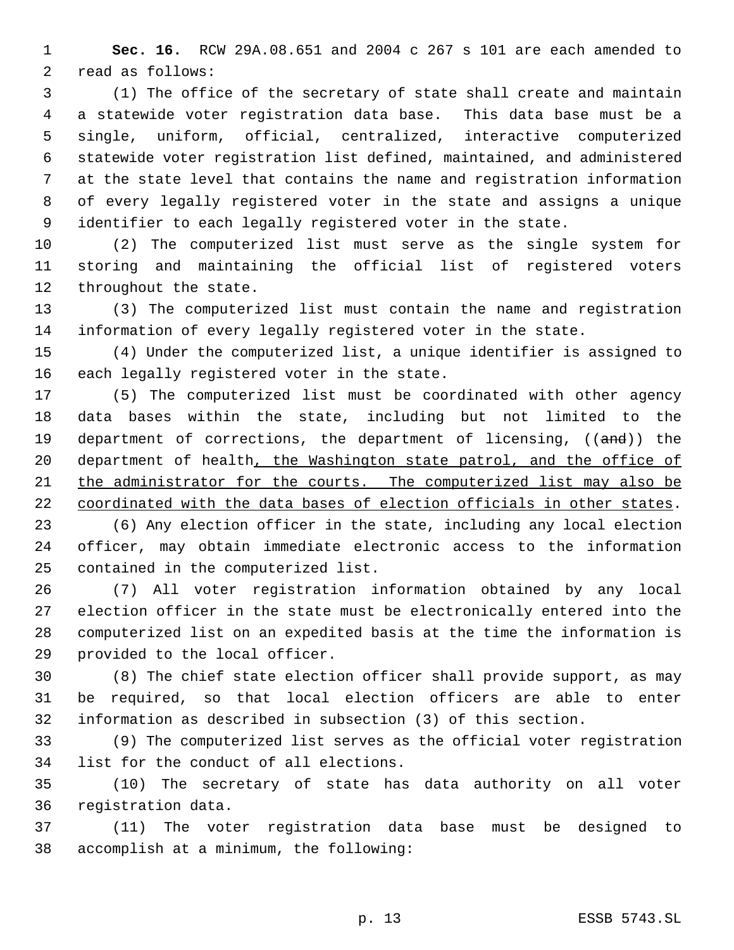**Sec. 16.** RCW 29A.08.651 and 2004 c 267 s 101 are each amended to read as follows:

 (1) The office of the secretary of state shall create and maintain a statewide voter registration data base. This data base must be a single, uniform, official, centralized, interactive computerized statewide voter registration list defined, maintained, and administered at the state level that contains the name and registration information of every legally registered voter in the state and assigns a unique identifier to each legally registered voter in the state.

 (2) The computerized list must serve as the single system for storing and maintaining the official list of registered voters 12 throughout the state.

 (3) The computerized list must contain the name and registration information of every legally registered voter in the state.

 (4) Under the computerized list, a unique identifier is assigned to each legally registered voter in the state.

 (5) The computerized list must be coordinated with other agency data bases within the state, including but not limited to the 19 department of corrections, the department of licensing, ((and)) the 20 department of health, the Washington state patrol, and the office of the administrator for the courts. The computerized list may also be coordinated with the data bases of election officials in other states.

 (6) Any election officer in the state, including any local election officer, may obtain immediate electronic access to the information contained in the computerized list.

 (7) All voter registration information obtained by any local election officer in the state must be electronically entered into the computerized list on an expedited basis at the time the information is provided to the local officer.

 (8) The chief state election officer shall provide support, as may be required, so that local election officers are able to enter information as described in subsection (3) of this section.

 (9) The computerized list serves as the official voter registration list for the conduct of all elections.

 (10) The secretary of state has data authority on all voter registration data.

 (11) The voter registration data base must be designed to accomplish at a minimum, the following: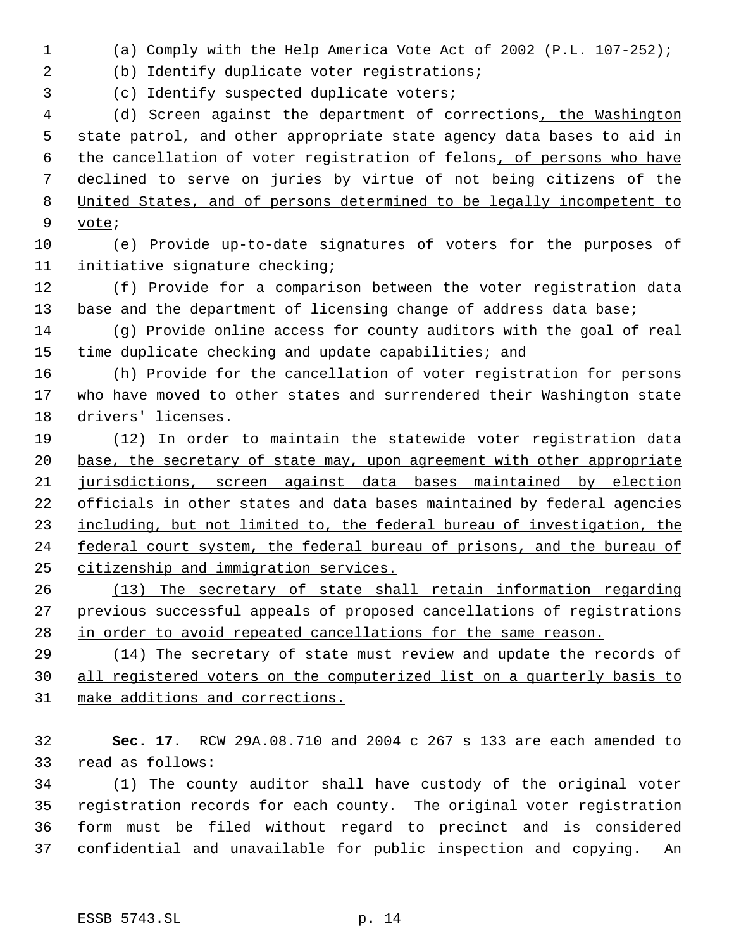(a) Comply with the Help America Vote Act of 2002 (P.L. 107-252);

(b) Identify duplicate voter registrations;

(c) Identify suspected duplicate voters;

 (d) Screen against the department of corrections, the Washington 5 state patrol, and other appropriate state agency data bases to aid in 6 the cancellation of voter registration of felons, of persons who have declined to serve on juries by virtue of not being citizens of the United States, and of persons determined to be legally incompetent to vote;

 (e) Provide up-to-date signatures of voters for the purposes of initiative signature checking;

 (f) Provide for a comparison between the voter registration data 13 base and the department of licensing change of address data base;

 (g) Provide online access for county auditors with the goal of real time duplicate checking and update capabilities; and

 (h) Provide for the cancellation of voter registration for persons who have moved to other states and surrendered their Washington state drivers' licenses.

 (12) In order to maintain the statewide voter registration data 20 base, the secretary of state may, upon agreement with other appropriate jurisdictions, screen against data bases maintained by election officials in other states and data bases maintained by federal agencies 23 including, but not limited to, the federal bureau of investigation, the 24 federal court system, the federal bureau of prisons, and the bureau of citizenship and immigration services.

 (13) The secretary of state shall retain information regarding previous successful appeals of proposed cancellations of registrations in order to avoid repeated cancellations for the same reason.

 (14) The secretary of state must review and update the records of all registered voters on the computerized list on a quarterly basis to make additions and corrections.

 **Sec. 17.** RCW 29A.08.710 and 2004 c 267 s 133 are each amended to read as follows:

 (1) The county auditor shall have custody of the original voter registration records for each county. The original voter registration form must be filed without regard to precinct and is considered confidential and unavailable for public inspection and copying. An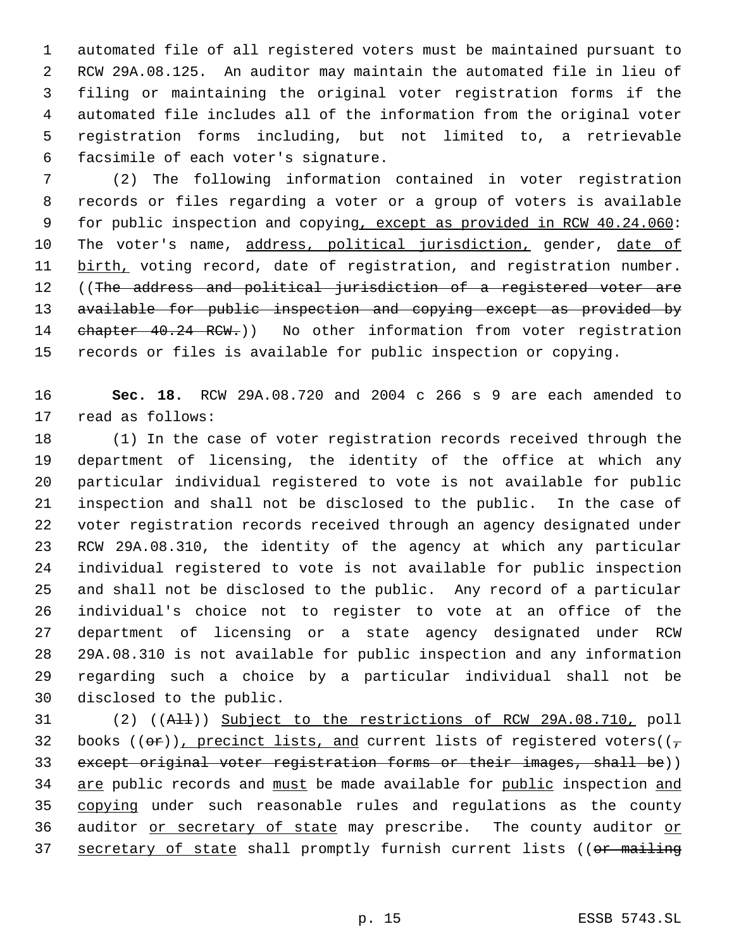automated file of all registered voters must be maintained pursuant to RCW 29A.08.125. An auditor may maintain the automated file in lieu of filing or maintaining the original voter registration forms if the automated file includes all of the information from the original voter registration forms including, but not limited to, a retrievable facsimile of each voter's signature.

 (2) The following information contained in voter registration records or files regarding a voter or a group of voters is available 9 for public inspection and copying, except as provided in RCW 40.24.060: 10 The voter's name, address, political jurisdiction, gender, date of 11 birth, voting record, date of registration, and registration number. 12 ((The address and political jurisdiction of a registered voter are 13 available for public inspection and copying except as provided by 14 chapter 40.24 RCW.)) No other information from voter registration records or files is available for public inspection or copying.

 **Sec. 18.** RCW 29A.08.720 and 2004 c 266 s 9 are each amended to read as follows:

 (1) In the case of voter registration records received through the department of licensing, the identity of the office at which any particular individual registered to vote is not available for public inspection and shall not be disclosed to the public. In the case of voter registration records received through an agency designated under RCW 29A.08.310, the identity of the agency at which any particular individual registered to vote is not available for public inspection and shall not be disclosed to the public. Any record of a particular individual's choice not to register to vote at an office of the department of licensing or a state agency designated under RCW 29A.08.310 is not available for public inspection and any information regarding such a choice by a particular individual shall not be disclosed to the public.

 (2) ((All)) Subject to the restrictions of RCW 29A.08.710, poll 32 books (( $\Theta$ r)), precinct lists, and current lists of registered voters( $(\tau$  except original voter registration forms or their images, shall be)) 34 are public records and must be made available for public inspection and 35 copying under such reasonable rules and regulations as the county 36 auditor or secretary of state may prescribe. The county auditor or 37 secretary of state shall promptly furnish current lists ((or mailing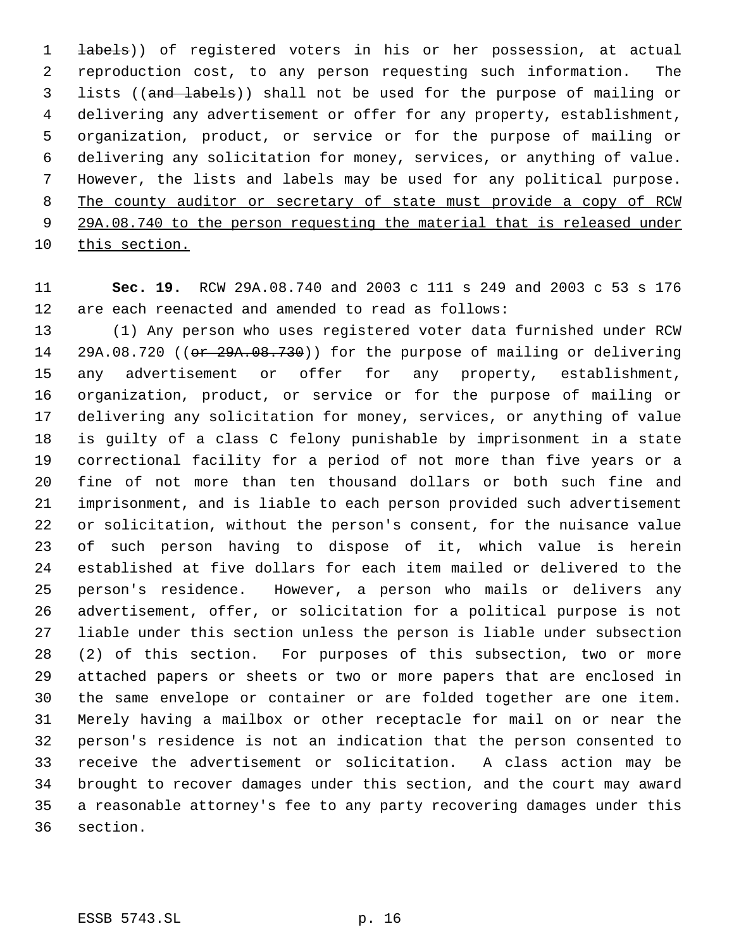**labels**)) of registered voters in his or her possession, at actual reproduction cost, to any person requesting such information. The lists ((and labels)) shall not be used for the purpose of mailing or delivering any advertisement or offer for any property, establishment, organization, product, or service or for the purpose of mailing or delivering any solicitation for money, services, or anything of value. However, the lists and labels may be used for any political purpose. The county auditor or secretary of state must provide a copy of RCW 9 29A.08.740 to the person requesting the material that is released under this section.

 **Sec. 19.** RCW 29A.08.740 and 2003 c 111 s 249 and 2003 c 53 s 176 are each reenacted and amended to read as follows:

 (1) Any person who uses registered voter data furnished under RCW 14 29A.08.720 ((or 29A.08.730)) for the purpose of mailing or delivering any advertisement or offer for any property, establishment, organization, product, or service or for the purpose of mailing or delivering any solicitation for money, services, or anything of value is guilty of a class C felony punishable by imprisonment in a state correctional facility for a period of not more than five years or a fine of not more than ten thousand dollars or both such fine and imprisonment, and is liable to each person provided such advertisement or solicitation, without the person's consent, for the nuisance value of such person having to dispose of it, which value is herein established at five dollars for each item mailed or delivered to the person's residence. However, a person who mails or delivers any advertisement, offer, or solicitation for a political purpose is not liable under this section unless the person is liable under subsection (2) of this section. For purposes of this subsection, two or more attached papers or sheets or two or more papers that are enclosed in the same envelope or container or are folded together are one item. Merely having a mailbox or other receptacle for mail on or near the person's residence is not an indication that the person consented to receive the advertisement or solicitation. A class action may be brought to recover damages under this section, and the court may award a reasonable attorney's fee to any party recovering damages under this section.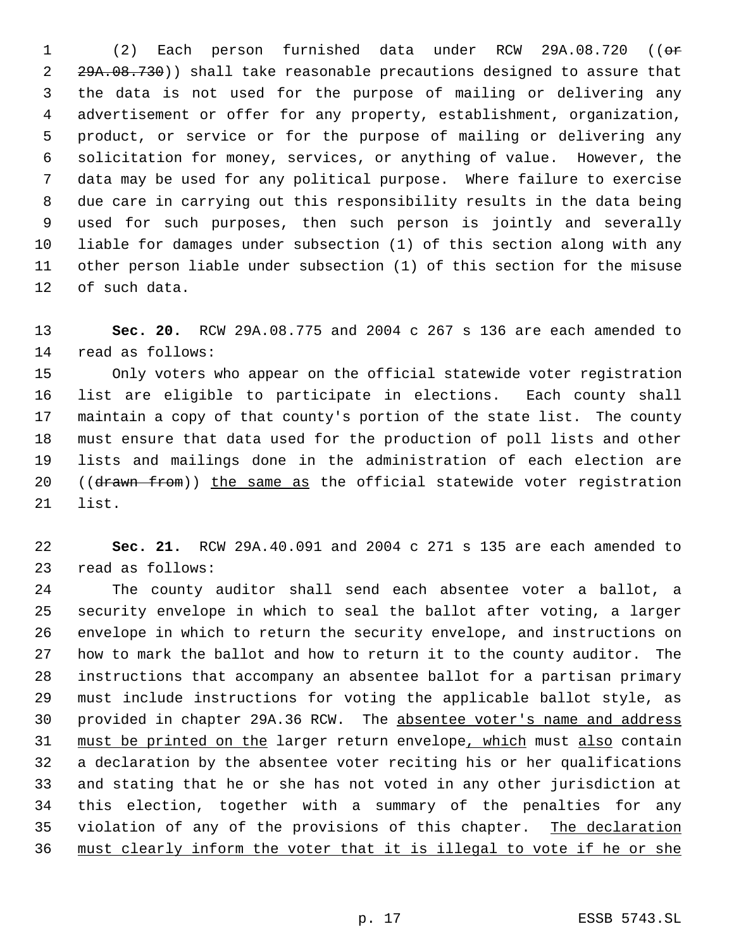(2) Each person furnished data under RCW 29A.08.720 ((or 2 29A.08.730)) shall take reasonable precautions designed to assure that the data is not used for the purpose of mailing or delivering any advertisement or offer for any property, establishment, organization, product, or service or for the purpose of mailing or delivering any solicitation for money, services, or anything of value. However, the data may be used for any political purpose. Where failure to exercise due care in carrying out this responsibility results in the data being used for such purposes, then such person is jointly and severally liable for damages under subsection (1) of this section along with any other person liable under subsection (1) of this section for the misuse of such data.

 **Sec. 20.** RCW 29A.08.775 and 2004 c 267 s 136 are each amended to read as follows:

 Only voters who appear on the official statewide voter registration list are eligible to participate in elections. Each county shall maintain a copy of that county's portion of the state list. The county must ensure that data used for the production of poll lists and other lists and mailings done in the administration of each election are 20 ((drawn from)) the same as the official statewide voter registration list.

 **Sec. 21.** RCW 29A.40.091 and 2004 c 271 s 135 are each amended to read as follows:

 The county auditor shall send each absentee voter a ballot, a security envelope in which to seal the ballot after voting, a larger envelope in which to return the security envelope, and instructions on how to mark the ballot and how to return it to the county auditor. The instructions that accompany an absentee ballot for a partisan primary must include instructions for voting the applicable ballot style, as provided in chapter 29A.36 RCW. The absentee voter's name and address 31 must be printed on the larger return envelope, which must also contain a declaration by the absentee voter reciting his or her qualifications and stating that he or she has not voted in any other jurisdiction at this election, together with a summary of the penalties for any 35 violation of any of the provisions of this chapter. The declaration must clearly inform the voter that it is illegal to vote if he or she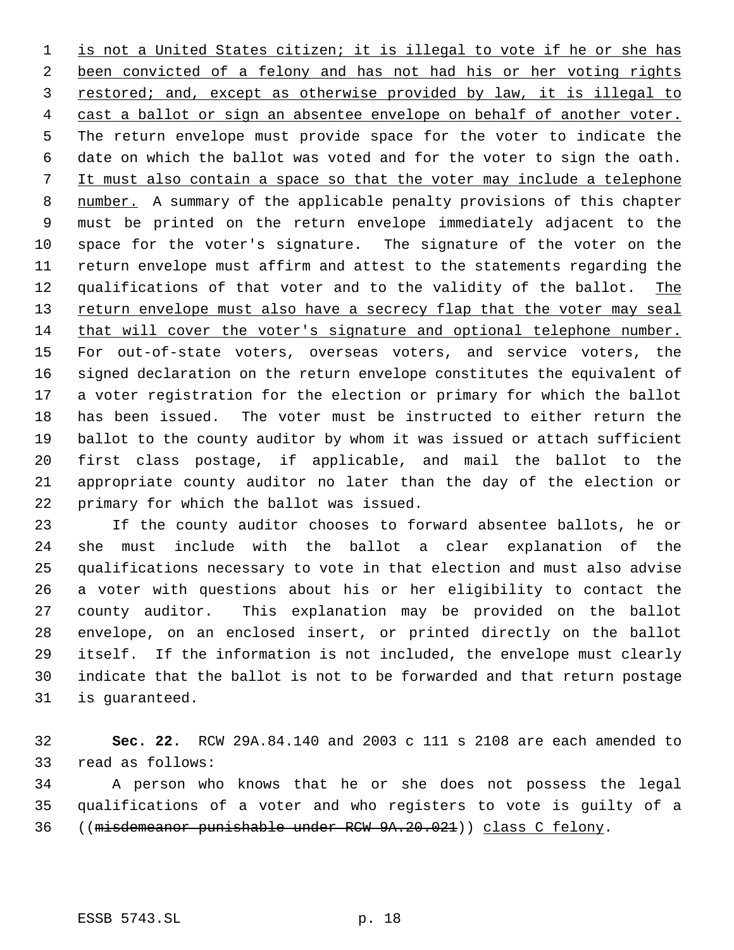1 is not a United States citizen; it is illegal to vote if he or she has 2 been convicted of a felony and has not had his or her voting rights restored; and, except as otherwise provided by law, it is illegal to cast a ballot or sign an absentee envelope on behalf of another voter. The return envelope must provide space for the voter to indicate the date on which the ballot was voted and for the voter to sign the oath. It must also contain a space so that the voter may include a telephone 8 number. A summary of the applicable penalty provisions of this chapter must be printed on the return envelope immediately adjacent to the space for the voter's signature. The signature of the voter on the return envelope must affirm and attest to the statements regarding the 12 qualifications of that voter and to the validity of the ballot. The 13 return envelope must also have a secrecy flap that the voter may seal that will cover the voter's signature and optional telephone number. For out-of-state voters, overseas voters, and service voters, the signed declaration on the return envelope constitutes the equivalent of a voter registration for the election or primary for which the ballot has been issued. The voter must be instructed to either return the ballot to the county auditor by whom it was issued or attach sufficient first class postage, if applicable, and mail the ballot to the appropriate county auditor no later than the day of the election or primary for which the ballot was issued.

 If the county auditor chooses to forward absentee ballots, he or she must include with the ballot a clear explanation of the qualifications necessary to vote in that election and must also advise a voter with questions about his or her eligibility to contact the county auditor. This explanation may be provided on the ballot envelope, on an enclosed insert, or printed directly on the ballot itself. If the information is not included, the envelope must clearly indicate that the ballot is not to be forwarded and that return postage is guaranteed.

 **Sec. 22.** RCW 29A.84.140 and 2003 c 111 s 2108 are each amended to read as follows:

 A person who knows that he or she does not possess the legal qualifications of a voter and who registers to vote is guilty of a ((misdemeanor punishable under RCW 9A.20.021)) class C felony.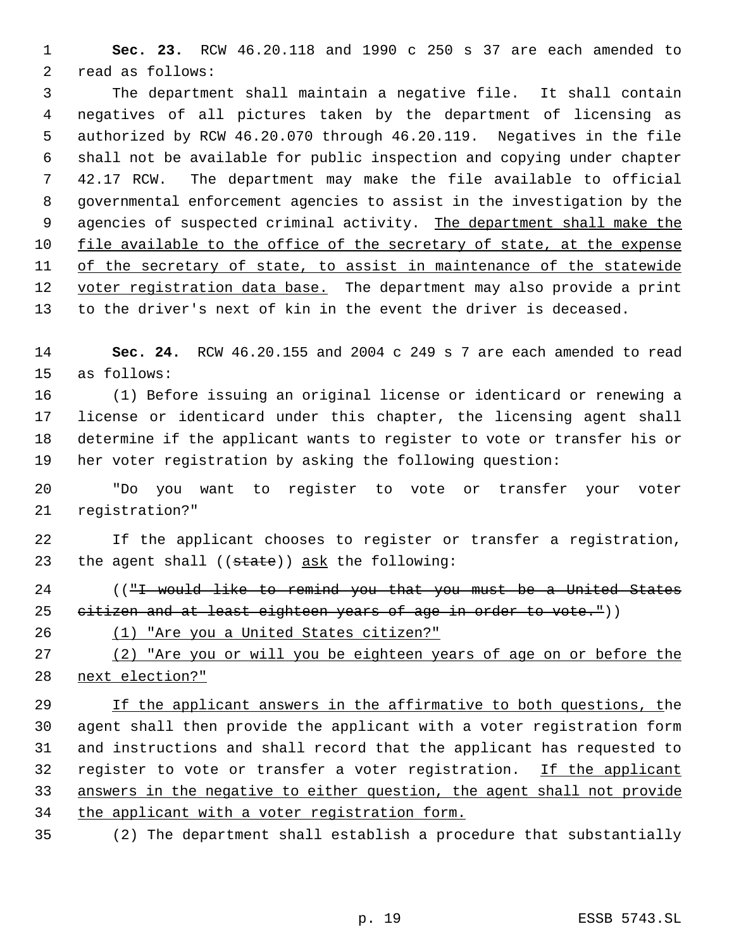**Sec. 23.** RCW 46.20.118 and 1990 c 250 s 37 are each amended to read as follows:

 The department shall maintain a negative file. It shall contain negatives of all pictures taken by the department of licensing as authorized by RCW 46.20.070 through 46.20.119. Negatives in the file shall not be available for public inspection and copying under chapter 42.17 RCW. The department may make the file available to official governmental enforcement agencies to assist in the investigation by the 9 agencies of suspected criminal activity. The department shall make the file available to the office of the secretary of state, at the expense 11 of the secretary of state, to assist in maintenance of the statewide 12 voter registration data base. The department may also provide a print to the driver's next of kin in the event the driver is deceased.

 **Sec. 24.** RCW 46.20.155 and 2004 c 249 s 7 are each amended to read as follows:

 (1) Before issuing an original license or identicard or renewing a license or identicard under this chapter, the licensing agent shall determine if the applicant wants to register to vote or transfer his or her voter registration by asking the following question:

 "Do you want to register to vote or transfer your voter registration?"

 If the applicant chooses to register or transfer a registration, 23 the agent shall  $((state))$  ask the following:

24 (("I would like to remind you that you must be a United States 25  $e^{i\theta}$  eitizen and at least eighteen years of age in order to vote."))

(1) "Are you a United States citizen?"

 (2) "Are you or will you be eighteen years of age on or before the next election?"

29 If the applicant answers in the affirmative to both questions, the agent shall then provide the applicant with a voter registration form and instructions and shall record that the applicant has requested to 32 register to vote or transfer a voter registration. If the applicant answers in the negative to either question, the agent shall not provide the applicant with a voter registration form.

(2) The department shall establish a procedure that substantially